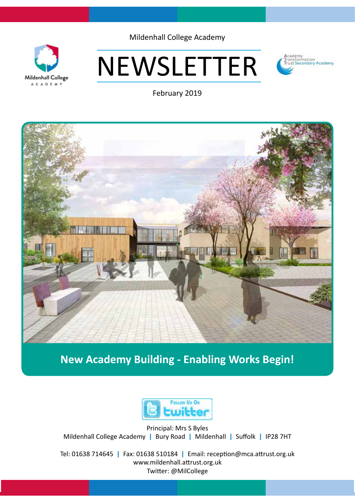

Mildenhall College Academy

# NEWSLETTER



February 2019



## **New Academy Building - Enabling Works Begin!**



Principal: Mrs S Byles Mildenhall College Academy **|** Bury Road **|** Mildenhall **|** Suffolk **|** IP28 7HT

Tel: 01638 714645 **|** Fax: 01638 510184 **|** Email: reception@mca.attrust.org.uk www.mildenhall.attrust.org.uk Twitter: @MilCollege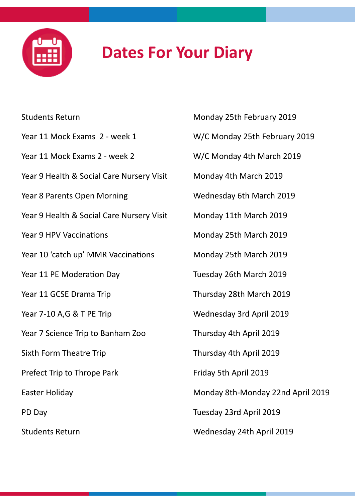

# **Dates For Your Diary**

| <b>Students Return</b>                    | Monday 25th February 2019         |
|-------------------------------------------|-----------------------------------|
| Year 11 Mock Exams 2 - week 1             | W/C Monday 25th February 2019     |
| Year 11 Mock Exams 2 - week 2             | W/C Monday 4th March 2019         |
| Year 9 Health & Social Care Nursery Visit | Monday 4th March 2019             |
| Year 8 Parents Open Morning               | Wednesday 6th March 2019          |
| Year 9 Health & Social Care Nursery Visit | Monday 11th March 2019            |
| Year 9 HPV Vaccinations                   | Monday 25th March 2019            |
| Year 10 'catch up' MMR Vaccinations       | Monday 25th March 2019            |
| Year 11 PE Moderation Day                 | Tuesday 26th March 2019           |
| Year 11 GCSE Drama Trip                   | Thursday 28th March 2019          |
| Year 7-10 A, G & T PE Trip                | Wednesday 3rd April 2019          |
| Year 7 Science Trip to Banham Zoo         | Thursday 4th April 2019           |
| Sixth Form Theatre Trip                   | Thursday 4th April 2019           |
| Prefect Trip to Thrope Park               | Friday 5th April 2019             |
| <b>Easter Holiday</b>                     | Monday 8th-Monday 22nd April 2019 |
| PD Day                                    | Tuesday 23rd April 2019           |
| <b>Students Return</b>                    | Wednesday 24th April 2019         |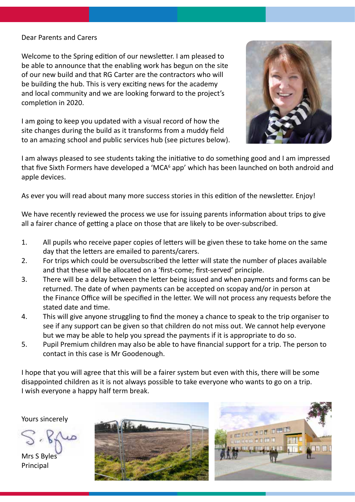#### Dear Parents and Carers

Welcome to the Spring edition of our newsletter. I am pleased to be able to announce that the enabling work has begun on the site of our new build and that RG Carter are the contractors who will be building the hub. This is very exciting news for the academy and local community and we are looking forward to the project's completion in 2020.

I am going to keep you updated with a visual record of how the site changes during the build as it transforms from a muddy field to an amazing school and public services hub (see pictures below).



I am always pleased to see students taking the initiative to do something good and I am impressed that five Sixth Formers have developed a 'MCA<sup>6</sup> app' which has been launched on both android and apple devices.

As ever you will read about many more success stories in this edition of the newsletter. Enjoy!

We have recently reviewed the process we use for issuing parents information about trips to give all a fairer chance of getting a place on those that are likely to be over-subscribed.

- 1. All pupils who receive paper copies of letters will be given these to take home on the same day that the letters are emailed to parents/carers.
- 2. For trips which could be oversubscribed the letter will state the number of places available and that these will be allocated on a 'first-come; first-served' principle.
- 3. There will be a delay between the letter being issued and when payments and forms can be returned. The date of when payments can be accepted on scopay and/or in person at the Finance Office will be specified in the letter. We will not process any requests before the stated date and time.
- 4. This will give anyone struggling to find the money a chance to speak to the trip organiser to see if any support can be given so that children do not miss out. We cannot help everyone but we may be able to help you spread the payments if it is appropriate to do so.
- 5. Pupil Premium children may also be able to have financial support for a trip. The person to contact in this case is Mr Goodenough.

I hope that you will agree that this will be a fairer system but even with this, there will be some disappointed children as it is not always possible to take everyone who wants to go on a trip. I wish everyone a happy half term break.

Yours sincerely

Mrs S Byles Principal



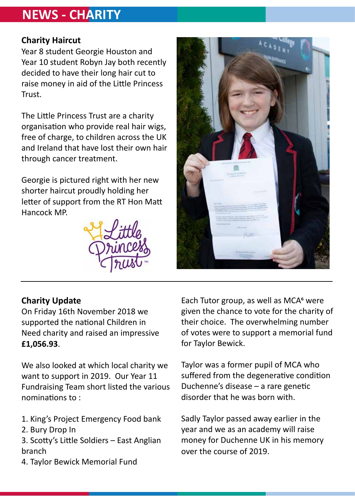# **NEWS - CHARITY**

## **Charity Haircut**

Year 8 student Georgie Houston and Year 10 student Robyn Jay both recently decided to have their long hair cut to raise money in aid of the Little Princess Trust.

The Little Princess Trust are a charity organisation who provide real hair wigs, free of charge, to children across the UK and Ireland that have lost their own hair through cancer treatment.

Georgie is pictured right with her new shorter haircut proudly holding her letter of support from the RT Hon Matt Hancock MP.





## **Charity Update**

On Friday 16th November 2018 we supported the national Children in Need charity and raised an impressive **£1,056.93**.

We also looked at which local charity we want to support in 2019. Our Year 11 Fundraising Team short listed the various nominations to :

- 1. King's Project Emergency Food bank
- 2. Bury Drop In
- 3. Scotty's Little Soldiers East Anglian branch
- 4. Taylor Bewick Memorial Fund

Each Tutor group, as well as MCA<sup>6</sup> were given the chance to vote for the charity of their choice. The overwhelming number of votes were to support a memorial fund for Taylor Bewick.

Taylor was a former pupil of MCA who suffered from the degenerative condition Duchenne's disease – a rare genetic disorder that he was born with.

Sadly Taylor passed away earlier in the year and we as an academy will raise money for Duchenne UK in his memory over the course of 2019.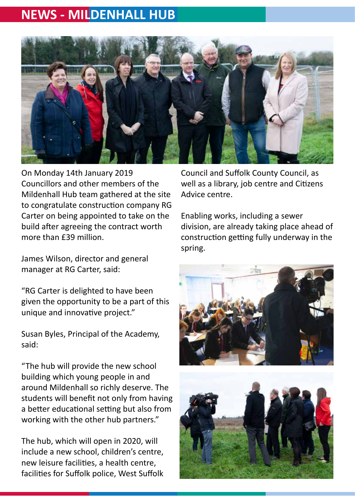# **NEWS - MILDENHALL HUB**

![](_page_4_Picture_1.jpeg)

On Monday 14th January 2019 Councillors and other members of the Mildenhall Hub team gathered at the site to congratulate construction company RG Carter on being appointed to take on the build after agreeing the contract worth more than £39 million.

James Wilson, director and general manager at RG Carter, said:

"RG Carter is delighted to have been given the opportunity to be a part of this unique and innovative project."

Susan Byles, Principal of the Academy, said:

"The hub will provide the new school building which young people in and around Mildenhall so richly deserve. The students will benefit not only from having a better educational setting but also from working with the other hub partners."

The hub, which will open in 2020, will include a new school, children's centre, new leisure facilities, a health centre, facilities for Suffolk police, West Suffolk Council and Suffolk County Council, as well as a library, job centre and Citizens Advice centre.

Enabling works, including a sewer division, are already taking place ahead of construction getting fully underway in the spring.

![](_page_4_Picture_10.jpeg)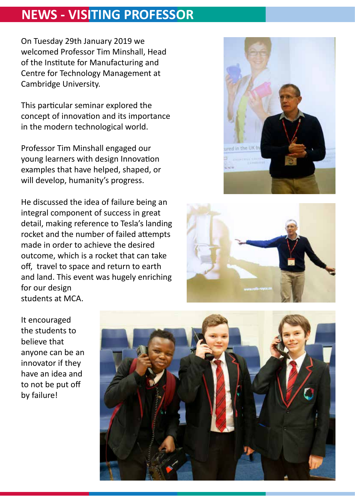# **NEWS - VISITING PROFESSOR**

On Tuesday 29th January 2019 we welcomed Professor Tim Minshall, Head of the Institute for Manufacturing and Centre for Technology Management at Cambridge University.

This particular seminar explored the concept of innovation and its importance in the modern technological world.

Professor Tim Minshall engaged our young learners with design Innovation examples that have helped, shaped, or will develop, humanity's progress.

He discussed the idea of failure being an integral component of success in great detail, making reference to Tesla's landing rocket and the number of failed attempts made in order to achieve the desired outcome, which is a rocket that can take off, travel to space and return to earth and land. This event was hugely enriching for our design students at MCA.

![](_page_5_Picture_5.jpeg)

![](_page_5_Picture_6.jpeg)

It encouraged the students to believe that anyone can be an innovator if they have an idea and to not be put off by failure!

![](_page_5_Picture_8.jpeg)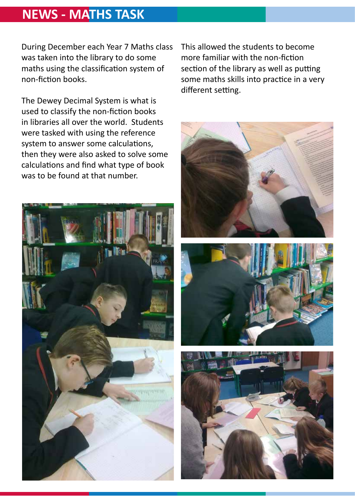# **NEWS - MATHS TASK**

During December each Year 7 Maths class was taken into the library to do some maths using the classification system of non-fiction books.

The Dewey Decimal System is what is used to classify the non-fiction books in libraries all over the world. Students were tasked with using the reference system to answer some calculations, then they were also asked to solve some calculations and find what type of book was to be found at that number.

![](_page_6_Picture_3.jpeg)

This allowed the students to become more familiar with the non-fiction section of the library as well as putting some maths skills into practice in a very different setting.

![](_page_6_Picture_5.jpeg)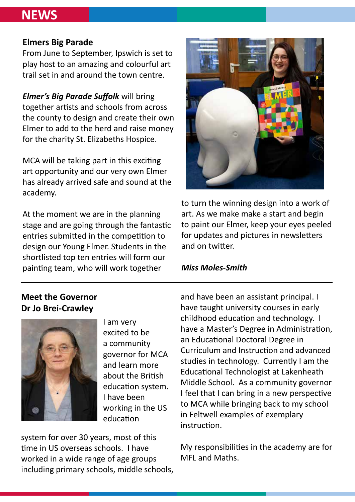## **NEWS**

### **Elmers Big Parade**

From June to September, Ipswich is set to play host to an amazing and colourful art trail set in and around the town centre.

*Elmer's Big Parade Suffolk* will bring together artists and schools from across the county to design and create their own Elmer to add to the herd and raise money for the charity St. Elizabeths Hospice.

MCA will be taking part in this exciting art opportunity and our very own Elmer has already arrived safe and sound at the academy.

At the moment we are in the planning stage and are going through the fantastic entries submitted in the competition to design our Young Elmer. Students in the shortlisted top ten entries will form our painting team, who will work together

![](_page_7_Picture_6.jpeg)

to turn the winning design into a work of art. As we make make a start and begin to paint our Elmer, keep your eyes peeled for updates and pictures in newsletters and on twitter.

#### *Miss Moles-Smith*

## **Meet the Governor Dr Jo Brei-Crawley**

![](_page_7_Picture_10.jpeg)

I am very excited to be a community governor for MCA and learn more about the British education system. I have been working in the US education

system for over 30 years, most of this time in US overseas schools. I have worked in a wide range of age groups including primary schools, middle schools,

and have been an assistant principal. I have taught university courses in early childhood education and technology. I have a Master's Degree in Administration, an Educational Doctoral Degree in Curriculum and Instruction and advanced studies in technology. Currently I am the Educational Technologist at Lakenheath Middle School. As a community governor I feel that I can bring in a new perspective to MCA while bringing back to my school in Feltwell examples of exemplary instruction.

My responsibilities in the academy are for MFL and Maths.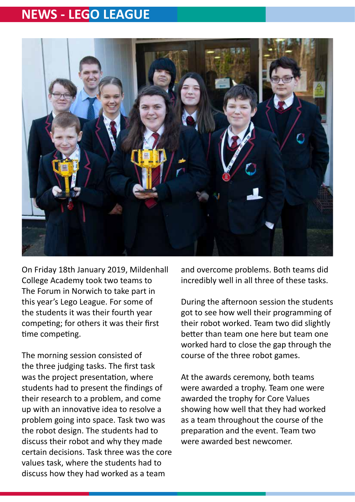# **NEWS - LEGO LEAGUE**

![](_page_8_Picture_1.jpeg)

On Friday 18th January 2019, Mildenhall College Academy took two teams to The Forum in Norwich to take part in this year's Lego League. For some of the students it was their fourth year competing; for others it was their first time competing.

The morning session consisted of the three judging tasks. The first task was the project presentation, where students had to present the findings of their research to a problem, and come up with an innovative idea to resolve a problem going into space. Task two was the robot design. The students had to discuss their robot and why they made certain decisions. Task three was the core values task, where the students had to discuss how they had worked as a team

and overcome problems. Both teams did incredibly well in all three of these tasks.

During the afternoon session the students got to see how well their programming of their robot worked. Team two did slightly better than team one here but team one worked hard to close the gap through the course of the three robot games.

At the awards ceremony, both teams were awarded a trophy. Team one were awarded the trophy for Core Values showing how well that they had worked as a team throughout the course of the preparation and the event. Team two were awarded best newcomer.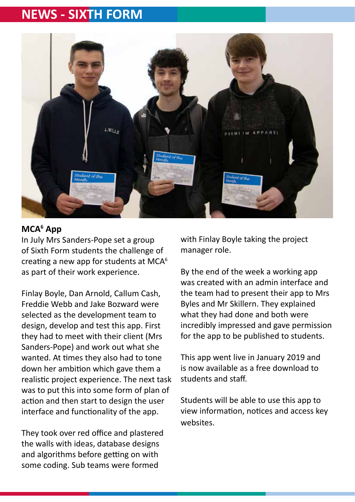# **NEWS - SIXTH FORM**

![](_page_9_Picture_1.jpeg)

## **MCA6 App**

In July Mrs Sanders-Pope set a group of Sixth Form students the challenge of creating a new app for students at MCA<sup>6</sup> as part of their work experience.

Finlay Boyle, Dan Arnold, Callum Cash, Freddie Webb and Jake Bozward were selected as the development team to design, develop and test this app. First they had to meet with their client (Mrs Sanders-Pope) and work out what she wanted. At times they also had to tone down her ambition which gave them a realistic project experience. The next task was to put this into some form of plan of action and then start to design the user interface and functionality of the app.

They took over red office and plastered the walls with ideas, database designs and algorithms before getting on with some coding. Sub teams were formed

with Finlay Boyle taking the project manager role.

By the end of the week a working app was created with an admin interface and the team had to present their app to Mrs Byles and Mr Skillern. They explained what they had done and both were incredibly impressed and gave permission for the app to be published to students.

This app went live in January 2019 and is now available as a free download to students and staff.

Students will be able to use this app to view information, notices and access key websites.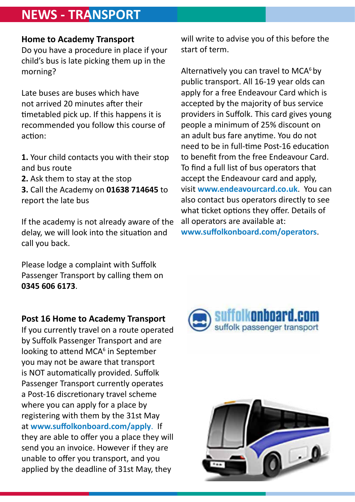# **NEWS - TRANSPORT**

## **Home to Academy Transport**

Do you have a procedure in place if your child's bus is late picking them up in the morning?

Late buses are buses which have not arrived 20 minutes after their timetabled pick up. If this happens it is recommended you follow this course of action:

**1.** Your child contacts you with their stop and bus route

**2.** Ask them to stay at the stop

**3.** Call the Academy on **01638 714645** to report the late bus

If the academy is not already aware of the delay, we will look into the situation and call you back.

Please lodge a complaint with Suffolk Passenger Transport by calling them on **0345 606 6173**.

## **Post 16 Home to Academy Transport**

If you currently travel on a route operated by Suffolk Passenger Transport and are looking to attend MCA<sup>6</sup> in September you may not be aware that transport is NOT automatically provided. Suffolk Passenger Transport currently operates a Post-16 discretionary travel scheme where you can apply for a place by registering with them by the 31st May at **www.suffolkonboard.com/apply**. If they are able to offer you a place they will send you an invoice. However if they are unable to offer you transport, and you applied by the deadline of 31st May, they

will write to advise you of this before the start of term.

Alternatively you can travel to MCA $6$  by public transport. All 16-19 year olds can apply for a free Endeavour Card which is accepted by the majority of bus service providers in Suffolk. This card gives young people a minimum of 25% discount on an adult bus fare anytime. You do not need to be in full-time Post-16 education to benefit from the free Endeavour Card. To find a full list of bus operators that accept the Endeavour card and apply, visit **www.endeavourcard.co.uk**. You can also contact bus operators directly to see what ticket options they offer. Details of all operators are available at: **www.suffolkonboard.com/operators**.

![](_page_10_Picture_13.jpeg)

![](_page_10_Picture_14.jpeg)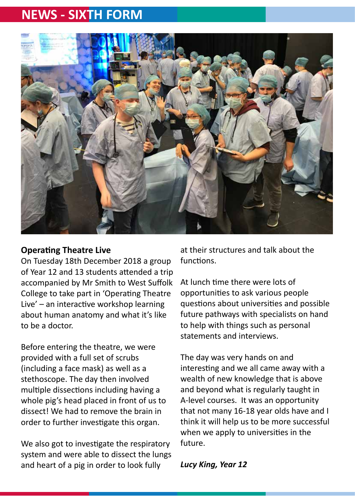# **NEWS - SIXTH FORM**

![](_page_11_Picture_1.jpeg)

### **Operating Theatre Live**

On Tuesday 18th December 2018 a group of Year 12 and 13 students attended a trip accompanied by Mr Smith to West Suffolk College to take part in 'Operating Theatre Live' – an interactive workshop learning about human anatomy and what it's like to be a doctor.

Before entering the theatre, we were provided with a full set of scrubs (including a face mask) as well as a stethoscope. The day then involved multiple dissections including having a whole pig's head placed in front of us to dissect! We had to remove the brain in order to further investigate this organ.

We also got to investigate the respiratory system and were able to dissect the lungs and heart of a pig in order to look fully

at their structures and talk about the functions.

At lunch time there were lots of opportunities to ask various people questions about universities and possible future pathways with specialists on hand to help with things such as personal statements and interviews.

The day was very hands on and interesting and we all came away with a wealth of new knowledge that is above and beyond what is regularly taught in A-level courses. It was an opportunity that not many 16-18 year olds have and I think it will help us to be more successful when we apply to universities in the future.

*Lucy King, Year 12*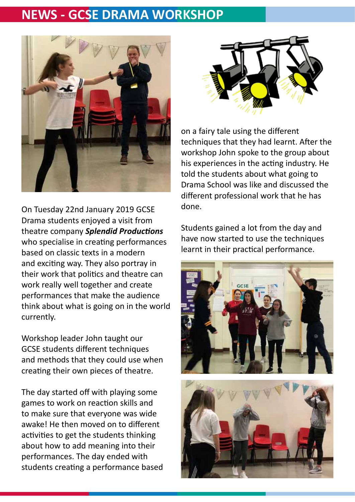# **NEWS - GCSE DRAMA WORKSHOP**

![](_page_12_Picture_1.jpeg)

On Tuesday 22nd January 2019 GCSE Drama students enjoyed a visit from theatre company *Splendid Productions* who specialise in creating performances based on classic texts in a modern and exciting way. They also portray in their work that politics and theatre can work really well together and create performances that make the audience think about what is going on in the world currently.

Workshop leader John taught our GCSE students different techniques and methods that they could use when creating their own pieces of theatre.

The day started off with playing some games to work on reaction skills and to make sure that everyone was wide awake! He then moved on to different activities to get the students thinking about how to add meaning into their performances. The day ended with students creating a performance based

![](_page_12_Picture_5.jpeg)

on a fairy tale using the different techniques that they had learnt. After the workshop John spoke to the group about his experiences in the acting industry. He told the students about what going to Drama School was like and discussed the different professional work that he has done.

Students gained a lot from the day and have now started to use the techniques learnt in their practical performance.

![](_page_12_Picture_8.jpeg)

![](_page_12_Picture_9.jpeg)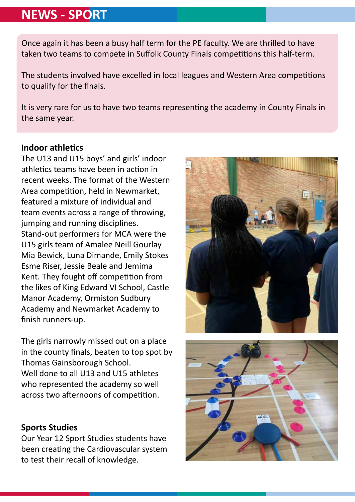# **NEWS - SPORT**

Once again it has been a busy half term for the PE faculty. We are thrilled to have taken two teams to compete in Suffolk County Finals competitions this half-term.

The students involved have excelled in local leagues and Western Area competitions to qualify for the finals.

It is very rare for us to have two teams representing the academy in County Finals in the same year.

## **Indoor athletics**

The U13 and U15 boys' and girls' indoor athletics teams have been in action in recent weeks. The format of the Western Area competition, held in Newmarket, featured a mixture of individual and team events across a range of throwing, jumping and running disciplines. Stand-out performers for MCA were the U15 girls team of Amalee Neill Gourlay Mia Bewick, Luna Dimande, Emily Stokes Esme Riser, Jessie Beale and Jemima Kent. They fought off competition from the likes of King Edward VI School, Castle Manor Academy, Ormiston Sudbury Academy and Newmarket Academy to finish runners-up.

The girls narrowly missed out on a place in the county finals, beaten to top spot by Thomas Gainsborough School. Well done to all U13 and U15 athletes who represented the academy so well across two afternoons of competition.

#### **Sports Studies**

Our Year 12 Sport Studies students have been creating the Cardiovascular system to test their recall of knowledge.

![](_page_13_Picture_9.jpeg)

![](_page_13_Picture_10.jpeg)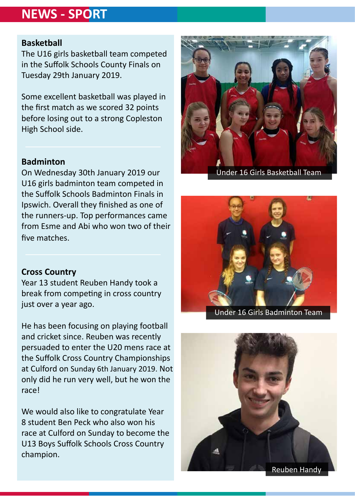# **NEWS - SPORT**

## **Basketball**

The U16 girls basketball team competed in the Suffolk Schools County Finals on Tuesday 29th January 2019.

Some excellent basketball was played in the first match as we scored 32 points before losing out to a strong Copleston High School side.

## **Badminton**

On Wednesday 30th January 2019 our U16 girls badminton team competed in the Suffolk Schools Badminton Finals in Ipswich. Overall they finished as one of the runners-up. Top performances came from Esme and Abi who won two of their five matches.

## **Cross Country**

Year 13 student Reuben Handy took a break from competing in cross country just over a year ago.

He has been focusing on playing football and cricket since. Reuben was recently persuaded to enter the U20 mens race at the Suffolk Cross Country Championships at Culford on Sunday 6th January 2019. Not only did he run very well, but he won the race!

We would also like to congratulate Year 8 student Ben Peck who also won his race at Culford on Sunday to become the U13 Boys Suffolk Schools Cross Country champion.

![](_page_14_Picture_10.jpeg)

Under 16 Girls Basketball Team

![](_page_14_Picture_12.jpeg)

Under 16 Girls Badminton Team

![](_page_14_Picture_14.jpeg)